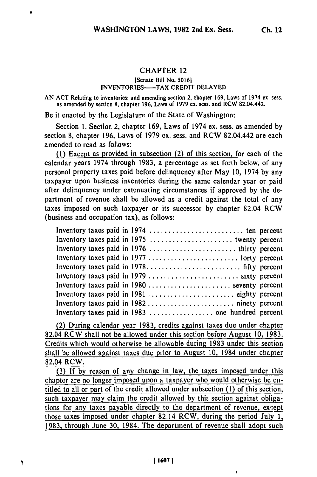**Ch. 12**

#### **CHAPTER 12**

# [Senate Bill No. **50161 INVENTORIES-TAX CREDIT DELAYED**

**AN ACT** Relating to inventories; and amending section 2, chapter 169, Laws of 1974 **ex.** sess. as amended **by** section **8,** chapter 196, Laws of **1979 ex.** sess. and RCW 82.04.442.

**Be it** enacted **by** the Legislature of the State of Washington:

Section **1.** Section 2, chapter 169, Laws of 1974 ex. sess. as amended **by** section **8,** chapter **196,** Laws of **1979 ex.** sess. and RCW 82.04.442 are each amended to read as follows:

**(1)** Except as provided in subsection (2) of this section, for each of the calendar years 1974 through **1983,** a percentage as set forth below, of any personal property taxes paid before delinquency after May **10,** 1974 **by** any taxpayer upon business inventories during the same calendar year or paid after delinquency under extenuating circumstances if approved **by** the department of revenue shall be allowed as a credit against the total of any taxes imposed on such taxpayer or its successor **by** chapter 82.04 RCW (business and occupation tax), as follows:

| Inventory taxes paid in 1980  seventy percent |  |
|-----------------------------------------------|--|
|                                               |  |
|                                               |  |
|                                               |  |

(2) During calendar year **1983,** credits against taxes due under chapter 82.04 RCW shall not be allowed under this section before August **10,** 1983. Credits which would otherwise be allowable during 1983 under this section shall be allowed against taxes due prior to August **10,** 1984 under chapter 82.04 RCW.

(3) If **by** reason of any change in law, the taxes imposed under this chapter are no longer imposed upon a taxpayer who would otherwise be entitled to all or part of the credit allowed under subsection **(1)** of this section, such taxpayer may claim the credit allowed by this section against obligations for any taxes payable directly to the department of revenue, except those taxes imposed under chapter 82.14 RCW, during the period July 1, 1983, through June 30, 1984. The department of revenue shall adopt such

 $\mathbf{I}$ 

۹